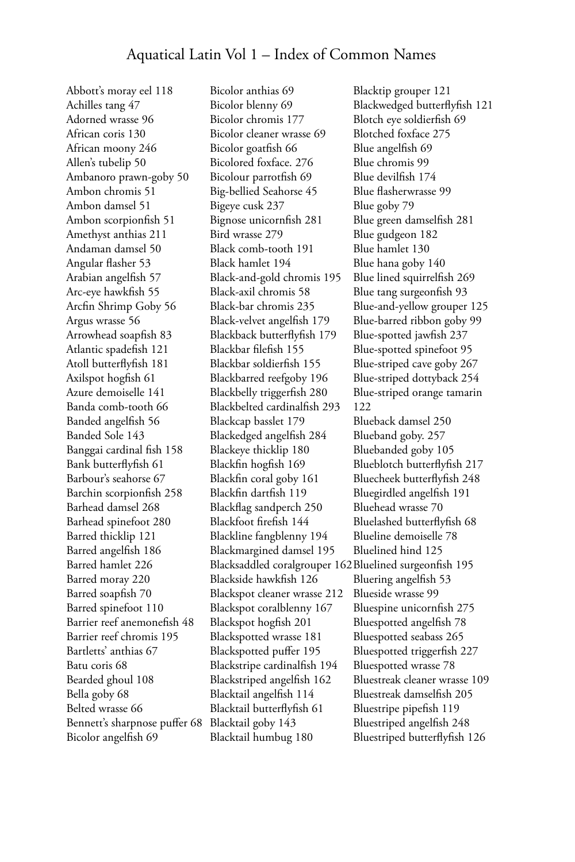Abbott's moray eel 118 Achilles tang 47 Adorned wrasse 96 African coris 130 African moony 246 Allen's tubelip 50 Ambanoro prawn-goby 50 Ambon chromis 51 Ambon damsel 51 Ambon scorpionfish 51 Amethyst anthias 211 Andaman damsel 50 Angular flasher 53 Arabian angelfish 57 Arc-eye hawkfish 55 Arcfin Shrimp Goby 56 Argus wrasse 56 Arrowhead soapfish 83 Atlantic spadefish 121 Atoll butterflyfish 181 Axilspot hogfish 61 Azure demoiselle 141 Banda comb-tooth 66 Banded angelfish 56 Banded Sole 143 Banggai cardinal fish 158 Bank butterflyfish 61 Barbour's seahorse 67 Barchin scorpionfish 258 Barhead damsel 268 Barhead spinefoot 280 Barred thicklip 121 Barred angelfish 186 Barred hamlet 226 Barred moray 220 Barred soapfish 70 Barred spinefoot 110 Barrier reef anemonefish 48 Barrier reef chromis 195 Bartletts' anthias 67 Batu coris 68 Bearded ghoul 108 Bella goby 68 Belted wrasse 66 Bennett's sharpnose puffer 68 Bicolor angelfish 69

Bicolor anthias 69 Bicolor blenny 69 Bicolor chromis 177 Bicolor cleaner wrasse 69 Bicolor goatfish 66 Bicolored foxface. 276 Bicolour parrotfish 69 Big-bellied Seahorse 45 Bigeye cusk 237 Bignose unicornfish 281 Bird wrasse 279 Black comb-tooth 191 Black hamlet 194 Black-and-gold chromis 195 Black-axil chromis 58 Black-bar chromis 235 Black-velvet angelfish 179 Blackback butterflyfish 179 Blackbar filefish 155 Blackbar soldierfish 155 Blackbarred reefgoby 196 Blackbelly triggerfish 280 Blackbelted cardinalfish 293 Blackcap basslet 179 Blackedged angelfish 284 Blackeye thicklip 180 Blackfin hogfish 169 Blackfin coral goby 161 Blackfin dartfish 119 Blackflag sandperch 250 Blackfoot firefish 144 Blackline fangblenny 194 Blackmargined damsel 195 Blacksaddled coralgrouper 162 Bluelined surgeonfish 195 Blackside hawkfish 126 Blackspot cleaner wrasse 212 Blackspot coralblenny 167 Blackspot hogfish 201 Blackspotted wrasse 181 Blackspotted puffer 195 Blackstripe cardinalfish 194 Blackstriped angelfish 162 Blacktail angelfish 114 Blacktail butterflyfish 61 Blacktail goby 143 Blacktail humbug 180

Blacktip grouper 121 Blackwedged butterflyfish 121 Blotch eye soldierfish 69 Blotched foxface 275 Blue angelfish 69 Blue chromis 99 Blue devilfish 174 Blue flasherwrasse 99 Blue goby 79 Blue green damselfish 281 Blue gudgeon 182 Blue hamlet 130 Blue hana goby 140 Blue lined squirrelfish 269 Blue tang surgeonfish 93 Blue-and-yellow grouper 125 Blue-barred ribbon goby 99 Blue-spotted jawfish 237 Blue-spotted spinefoot 95 Blue-striped cave goby 267 Blue-striped dottyback 254 Blue-striped orange tamarin 122 Blueback damsel 250 Blueband goby. 257 Bluebanded goby 105 Blueblotch butterflyfish 217 Bluecheek butterflyfish 248 Bluegirdled angelfish 191 Bluehead wrasse 70 Bluelashed butterflyfish 68 Blueline demoiselle 78 Bluelined hind 125 Bluering angelfish 53 Blueside wrasse 99 Bluespine unicornfish 275 Bluespotted angelfish 78 Bluespotted seabass 265 Bluespotted triggerfish 227 Bluespotted wrasse 78 Bluestreak cleaner wrasse 109 Bluestreak damselfish 205 Bluestripe pipefish 119 Bluestriped angelfish 248 Bluestriped butterflyfish 126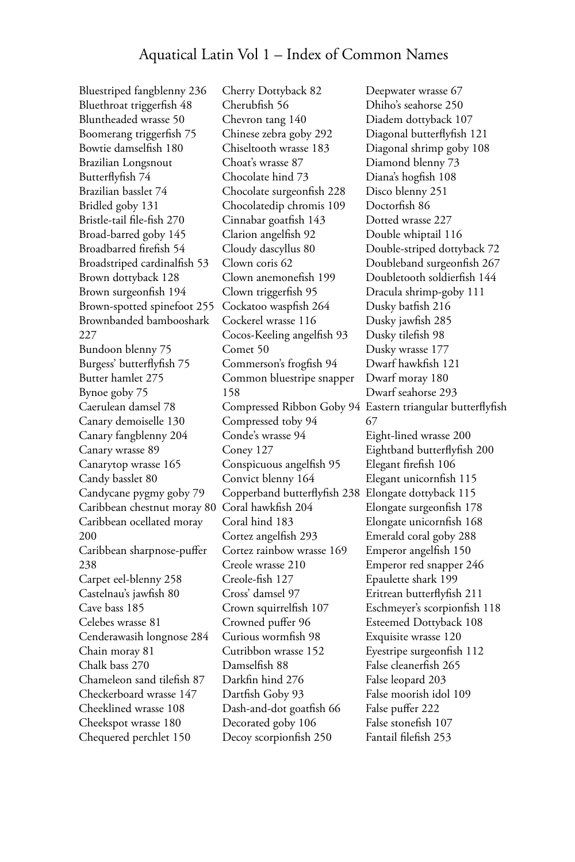Bluestriped fangblenny 236 Bluethroat triggerfish 48 Bluntheaded wrasse 50 Boomerang triggerfish 75 Bowtie damselfish 180 Brazilian Longsnout Butterflyfish 74 Brazilian basslet 74 Bridled goby 131 Bristle-tail file-fish 270 Broad-barred goby 145 Broadbarred firefish 54 Broadstriped cardinalfish 53 Brown dottyback 128 Brown surgeonfish 194 Brown-spotted spinefoot 255 Brownbanded bambooshark 227 Bundoon blenny 75 Burgess' butterflyfish 75 Butter hamlet 275 Bynoe goby 75 Caerulean damsel 78 Canary demoiselle 130 Canary fangblenny 204 Canary wrasse 89 Canarytop wrasse 165 Candy basslet 80 Candycane pygmy goby 79 Caribbean chestnut moray 80 Caribbean ocellated moray 200 Caribbean sharpnose-puffer 238 Carpet eel-blenny 258 Castelnau's jawfish 80 Cave bass 185 Celebes wrasse 81 Cenderawasih longnose 284 Chain moray 81 Chalk bass 270 Chameleon sand tilefish 87 Checkerboard wrasse 147 Cheeklined wrasse 108 Cheekspot wrasse 180 Chequered perchlet 150

Cherry Dottyback 82 Cherubfish 56 Chevron tang 140 Chinese zebra goby 292 Chiseltooth wrasse 183 Choat's wrasse 87 Chocolate hind 73 Chocolate surgeonfish 228 Chocolatedip chromis 109 Cinnabar goatfish 143 Clarion angelfish 92 Cloudy dascyllus 80 Clown coris 62 Clown anemonefish 199 Clown triggerfish 95 Cockatoo waspfish 264 Cockerel wrasse 116 Cocos-Keeling angelfish 93 Comet 50 Commerson's frogfish 94 Common bluestripe snapper 158 Compressed toby 94 Conde's wrasse 94 Coney 127 Conspicuous angelfish 95 Convict blenny 164 Copperband butterflyfish 238 Coral hawkfish 204 Coral hind 183 Cortez angelfish 293 Cortez rainbow wrasse 169 Creole wrasse 210 Creole-fish 127 Cross' damsel 97 Crown squirrelfish 107 Crowned puffer 96 Curious wormfish 98 Cutribbon wrasse 152 Damselfish 88 Darkfin hind 276 Dartfish Goby 93 Dash-and-dot goatfish 66 Decorated goby 106 Decoy scorpionfish 250

Compressed Ribbon Goby 94 Eastern triangular butterflyfish Deepwater wrasse 67 Dhiho's seahorse 250 Diadem dottyback 107 Diagonal butterflyfish 121 Diagonal shrimp goby 108 Diamond blenny 73 Diana's hogfish 108 Disco blenny 251 Doctorfish 86 Dotted wrasse 227 Double whiptail 116 Double-striped dottyback 72 Doubleband surgeonfish 267 Doubletooth soldierfish 144 Dracula shrimp-goby 111 Dusky batfish 216 Dusky jawfish 285 Dusky tilefish 98 Dusky wrasse 177 Dwarf hawkfish 121 Dwarf moray 180 Dwarf seahorse 293 67 Eight-lined wrasse 200 Eightband butterflyfish 200 Elegant firefish 106 Elegant unicornfish 115 Elongate dottyback 115 Elongate surgeonfish 178 Elongate unicornfish 168 Emerald coral goby 288 Emperor angelfish 150 Emperor red snapper 246 Epaulette shark 199 Eritrean butterflyfish 211 Eschmeyer's scorpionfish 118 Esteemed Dottyback 108 Exquisite wrasse 120 Eyestripe surgeonfish 112 False cleanerfish 265 False leopard 203 False moorish idol 109 False puffer 222 False stonefish 107 Fantail filefish 253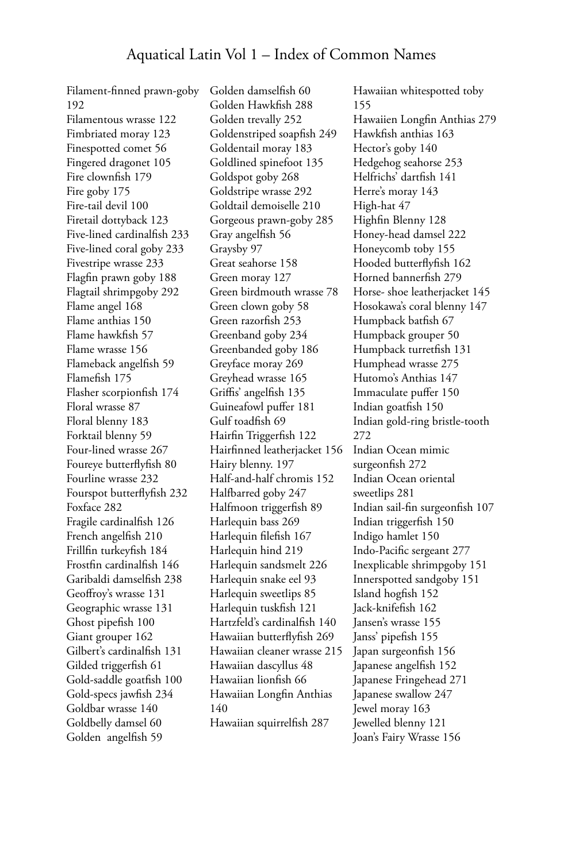Filament-finned prawn-goby 192 Filamentous wrasse 122 Fimbriated moray 123 Finespotted comet 56 Fingered dragonet 105 Fire clownfish 179 Fire goby 175 Fire-tail devil 100 Firetail dottyback 123 Five-lined cardinalfish 233 Five-lined coral goby 233 Fivestripe wrasse 233 Flagfin prawn goby 188 Flagtail shrimpgoby 292 Flame angel 168 Flame anthias 150 Flame hawkfish 57 Flame wrasse 156 Flameback angelfish 59 Flamefish 175 Flasher scorpionfish 174 Floral wrasse 87 Floral blenny 183 Forktail blenny 59 Four-lined wrasse 267 Foureye butterflyfish 80 Fourline wrasse 232 Fourspot butterflyfish 232 Foxface 282 Fragile cardinalfish 126 French angelfish 210 Frillfin turkeyfish 184 Frostfin cardinalfish 146 Garibaldi damselfish 238 Geoffroy's wrasse 131 Geographic wrasse 131 Ghost pipefish 100 Giant grouper 162 Gilbert's cardinalfish 131 Gilded triggerfish 61 Gold-saddle goatfish 100 Gold-specs jawfish 234 Goldbar wrasse 140 Goldbelly damsel 60 Golden angelfish 59

Golden damselfish 60 Golden Hawkfish 288 Golden trevally 252 Goldenstriped soapfish 249 Goldentail moray 183 Goldlined spinefoot 135 Goldspot goby 268 Goldstripe wrasse 292 Goldtail demoiselle 210 Gorgeous prawn-goby 285 Gray angelfish 56 Graysby 97 Great seahorse 158 Green moray 127 Green birdmouth wrasse 78 Green clown goby 58 Green razorfish 253 Greenband goby 234 Greenbanded goby 186 Greyface moray 269 Greyhead wrasse 165 Griffis' angelfish 135 Guineafowl puffer 181 Gulf toadfish 69 Hairfin Triggerfish 122 Hairfinned leatherjacket 156 Hairy blenny. 197 Half-and-half chromis 152 Halfbarred goby 247 Halfmoon triggerfish 89 Harlequin bass 269 Harlequin filefish 167 Harlequin hind 219 Harlequin sandsmelt 226 Harlequin snake eel 93 Harlequin sweetlips 85 Harlequin tuskfish 121 Hartzfeld's cardinalfish 140 Hawaiian butterflyfish 269 Hawaiian cleaner wrasse 215 Hawaiian dascyllus 48 Hawaiian lionfish 66 Hawaiian Longfin Anthias 140 Hawaiian squirrelfish 287

Hawaiian whitespotted toby 155 Hawaiien Longfin Anthias 279 Hawkfish anthias 163 Hector's goby 140 Hedgehog seahorse 253 Helfrichs' dartfish 141 Herre's moray 143 High-hat 47 Highfin Blenny 128 Honey-head damsel 222 Honeycomb toby 155 Hooded butterflyfish 162 Horned bannerfish 279 Horse- shoe leatherjacket 145 Hosokawa's coral blenny 147 Humpback batfish 67 Humpback grouper 50 Humpback turretfish 131 Humphead wrasse 275 Hutomo's Anthias 147 Immaculate puffer 150 Indian goatfish 150 Indian gold-ring bristle-tooth 272 Indian Ocean mimic surgeonfish 272 Indian Ocean oriental sweetlips 281 Indian sail-fin surgeonfish 107 Indian triggerfish 150 Indigo hamlet 150 Indo-Pacific sergeant 277 Inexplicable shrimpgoby 151 Innerspotted sandgoby 151 Island hogfish 152 Jack-knifefish 162 Jansen's wrasse 155 Janss' pipefish 155 Japan surgeonfish 156 Japanese angelfish 152 Japanese Fringehead 271 Japanese swallow 247 Jewel moray 163 Jewelled blenny 121 Joan's Fairy Wrasse 156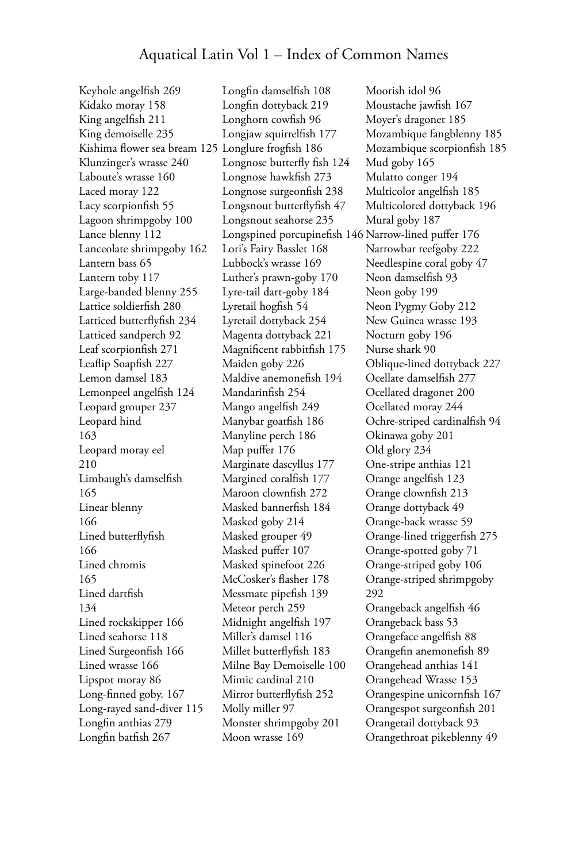Keyhole angelfish 269 Kidako moray 158 King angelfish 211 King demoiselle 235 Kishima flower sea bream 125 Longlure frogfish 186 Klunzinger's wrasse 240 Laboute's wrasse 160 Laced moray 122 Lacy scorpionfish 55 Lagoon shrimpgoby 100 Lance blenny 112 Lanceolate shrimpgoby 162 Lantern bass 65 Lantern toby 117 Large-banded blenny 255 Lattice soldierfish 280 Latticed butterflyfish 234 Latticed sandperch 92 Leaf scorpionfish 271 Leaflip Soapfish 227 Lemon damsel 183 Lemonpeel angelfish 124 Leopard grouper 237 Leopard hind 163 Leopard moray eel 210 Limbaugh's damselfish 165 Linear blenny 166 Lined butterflyfish 166 Lined chromis 165 Lined dartfish 134 Lined rockskipper 166 Lined seahorse 118 Lined Surgeonfish 166 Lined wrasse 166 Lipspot moray 86 Long-finned goby. 167 Long-rayed sand-diver 115 Longfin anthias 279 Longfin batfish 267

Longfin damselfish 108 Longfin dottyback 219 Longhorn cowfish 96 Longjaw squirrelfish 177 Longnose butterfly fish 124 Longnose hawkfish 273 Longnose surgeonfish 238 Longsnout butterflyfish 47 Longsnout seahorse 235 Longspined porcupinefish 146 Narrow-lined puffer 176 Lori's Fairy Basslet 168 Lubbock's wrasse 169 Luther's prawn-goby 170 Lyre-tail dart-goby 184 Lyretail hogfish 54 Lyretail dottyback 254 Magenta dottyback 221 Magnificent rabbitfish 175 Maiden goby 226 Maldive anemonefish 194 Mandarinfish 254 Mango angelfish 249 Manybar goatfish 186 Manyline perch 186 Map puffer 176 Marginate dascyllus 177 Margined coralfish 177 Maroon clownfish 272 Masked bannerfish 184 Masked goby 214 Masked grouper 49 Masked puffer 107 Masked spinefoot 226 McCosker's flasher 178 Messmate pipefish 139 Meteor perch 259 Midnight angelfish 197 Miller's damsel 116 Millet butterflyfish 183 Milne Bay Demoiselle 100 Mimic cardinal 210 Mirror butterflyfish 252 Molly miller 97 Monster shrimpgoby 201 Moon wrasse 169

Moorish idol 96 Moustache jawfish 167 Moyer's dragonet 185 Mozambique fangblenny 185 Mozambique scorpionfish 185 Mud goby 165 Mulatto conger 194 Multicolor angelfish 185 Multicolored dottyback 196 Mural goby 187 Narrowbar reefgoby 222 Needlespine coral goby 47 Neon damselfish 93 Neon goby 199 Neon Pygmy Goby 212 New Guinea wrasse 193 Nocturn goby 196 Nurse shark 90 Oblique-lined dottyback 227 Ocellate damselfish 277 Ocellated dragonet 200 Ocellated moray 244 Ochre-striped cardinalfish 94 Okinawa goby 201 Old glory 234 One-stripe anthias 121 Orange angelfish 123 Orange clownfish 213 Orange dottyback 49 Orange-back wrasse 59 Orange-lined triggerfish 275 Orange-spotted goby 71 Orange-striped goby 106 Orange-striped shrimpgoby 292 Orangeback angelfish 46 Orangeback bass 53 Orangeface angelfish 88 Orangefin anemonefish 89 Orangehead anthias 141 Orangehead Wrasse 153 Orangespine unicornfish 167 Orangespot surgeonfish 201 Orangetail dottyback 93 Orangethroat pikeblenny 49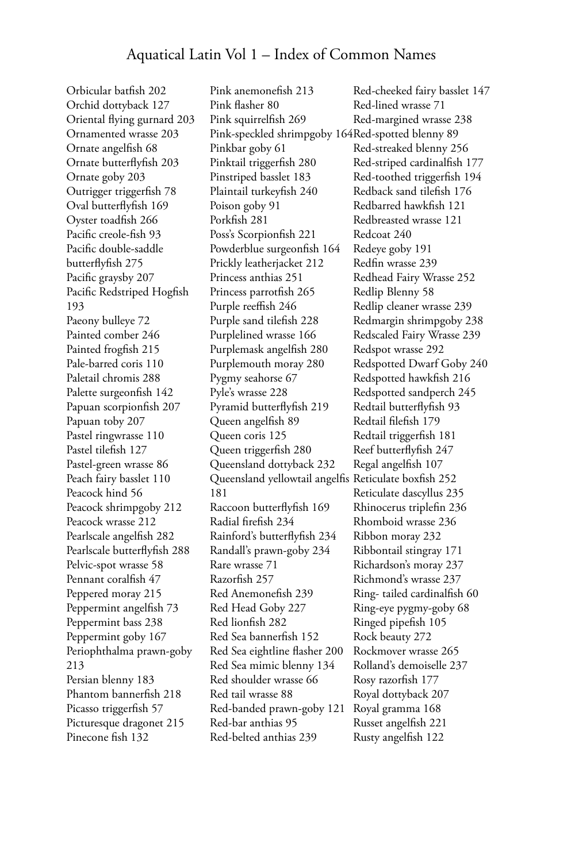Orbicular batfish 202 Orchid dottyback 127 Oriental flying gurnard 203 Ornamented wrasse 203 Ornate angelfish 68 Ornate butterflyfish 203 Ornate goby 203 Outrigger triggerfish 78 Oval butterflyfish 169 Oyster toadfish 266 Pacific creole-fish 93 Pacific double-saddle butterflyfish 275 Pacific graysby 207 Pacific Redstriped Hogfish 193 Paeony bulleye 72 Painted comber 246 Painted frogfish 215 Pale-barred coris 110 Paletail chromis 288 Palette surgeonfish 142 Papuan scorpionfish 207 Papuan toby 207 Pastel ringwrasse 110 Pastel tilefish 127 Pastel-green wrasse 86 Peach fairy basslet 110 Peacock hind 56 Peacock shrimpgoby 212 Peacock wrasse 212 Pearlscale angelfish 282 Pearlscale butterflyfish 288 Pelvic-spot wrasse 58 Pennant coralfish 47 Peppered moray 215 Peppermint angelfish 73 Peppermint bass 238 Peppermint goby 167 Periophthalma prawn-goby 213 Persian blenny 183 Phantom bannerfish 218 Picasso triggerfish 57 Picturesque dragonet 215 Pinecone fish 132

Pink anemonefish 213 Pink flasher 80 Pink squirrelfish 269 Pink-speckled shrimpgoby 164 Red-spotted blenny 89 Pinkbar goby 61 Pinktail triggerfish 280 Pinstriped basslet 183 Plaintail turkeyfish 240 Poison goby 91 Porkfish 281 Poss's Scorpionfish 221 Powderblue surgeonfish 164 Prickly leatherjacket 212 Princess anthias 251 Princess parrotfish 265 Purple reeffish 246 Purple sand tilefish 228 Purplelined wrasse 166 Purplemask angelfish 280 Purplemouth moray 280 Pygmy seahorse 67 Pyle's wrasse 228 Pyramid butterflyfish 219 Queen angelfish 89 Queen coris 125 Queen triggerfish 280 Queensland dottyback 232 Queensland yellowtail angelfis Reticulate boxfish 252 181 Raccoon butterflyfish 169 Radial firefish 234 Rainford's butterflyfish 234 Randall's prawn-goby 234 Rare wrasse 71 Razorfish 257 Red Anemonefish 239 Red Head Goby 227 Red lionfish 282 Red Sea bannerfish 152 Red Sea eightline flasher 200 Red Sea mimic blenny 134 Red shoulder wrasse 66 Red tail wrasse 88 Red-banded prawn-goby 121 Red-bar anthias 95 Red-belted anthias 239

Red-cheeked fairy basslet 147 Red-lined wrasse 71 Red-margined wrasse 238 Red-streaked blenny 256 Red-striped cardinalfish 177 Red-toothed triggerfish 194 Redback sand tilefish 176 Redbarred hawkfish 121 Redbreasted wrasse 121 Redcoat 240 Redeye goby 191 Redfin wrasse 239 Redhead Fairy Wrasse 252 Redlip Blenny 58 Redlip cleaner wrasse 239 Redmargin shrimpgoby 238 Redscaled Fairy Wrasse 239 Redspot wrasse 292 Redspotted Dwarf Goby 240 Redspotted hawkfish 216 Redspotted sandperch 245 Redtail butterflyfish 93 Redtail filefish 179 Redtail triggerfish 181 Reef butterflyfish 247 Regal angelfish 107 Reticulate dascyllus 235 Rhinocerus triplefin 236 Rhomboid wrasse 236 Ribbon moray 232 Ribbontail stingray 171 Richardson's moray 237 Richmond's wrasse 237 Ring- tailed cardinalfish 60 Ring-eye pygmy-goby 68 Ringed pipefish 105 Rock beauty 272 Rockmover wrasse 265 Rolland's demoiselle 237 Rosy razorfish 177 Royal dottyback 207 Royal gramma 168 Russet angelfish 221 Rusty angelfish 122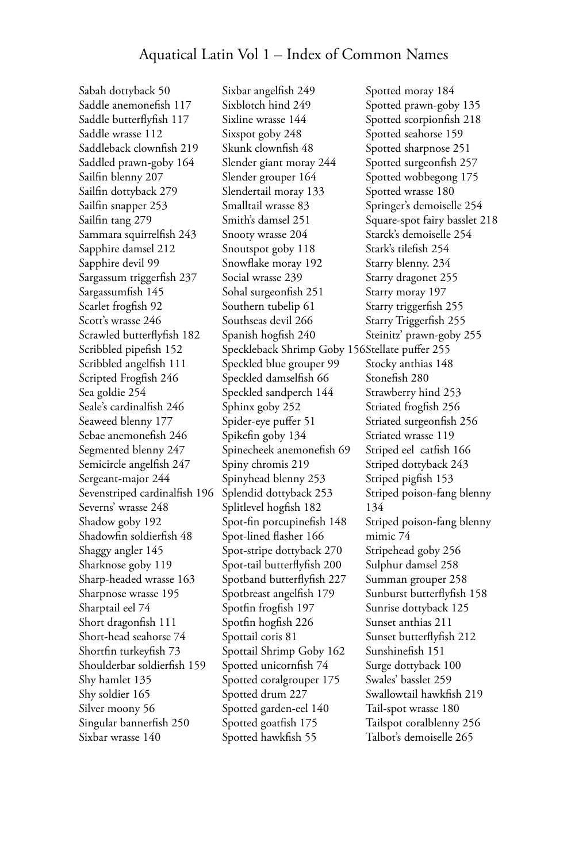Sabah dottyback 50 Saddle anemonefish 117 Saddle butterflyfish 117 Saddle wrasse 112 Saddleback clownfish 219 Saddled prawn-goby 164 Sailfin blenny 207 Sailfin dottyback 279 Sailfin snapper 253 Sailfin tang 279 Sammara squirrelfish 243 Sapphire damsel 212 Sapphire devil 99 Sargassum triggerfish 237 Sargassumfish 145 Scarlet frogfish 92 Scott's wrasse 246 Scrawled butterflyfish 182 Scribbled pipefish 152 Scribbled angelfish 111 Scripted Frogfish 246 Sea goldie 254 Seale's cardinalfish 246 Seaweed blenny 177 Sebae anemonefish 246 Segmented blenny 247 Semicircle angelfish 247 Sergeant-major 244 Sevenstriped cardinalfish 196 Severns' wrasse 248 Shadow goby 192 Shadowfin soldierfish 48 Shaggy angler 145 Sharknose goby 119 Sharp-headed wrasse 163 Sharpnose wrasse 195 Sharptail eel 74 Short dragonfish 111 Short-head seahorse 74 Shortfin turkeyfish 73 Shoulderbar soldierfish 159 Shy hamlet 135 Shy soldier 165 Silver moony 56 Singular bannerfish 250 Sixbar wrasse 140

Sixbar angelfish 249 Sixblotch hind 249 Sixline wrasse 144 Sixspot goby 248 Skunk clownfish 48 Slender giant moray 244 Slender grouper 164 Slendertail moray 133 Smalltail wrasse 83 Smith's damsel 251 Snooty wrasse 204 Snoutspot goby 118 Snowflake moray 192 Social wrasse 239 Sohal surgeonfish 251 Southern tubelip 61 Southseas devil 266 Spanish hogfish 240 Speckleback Shrimp Goby 156 Stellate puffer 255 Speckled blue grouper 99 Speckled damselfish 66 Speckled sandperch 144 Sphinx goby 252 Spider-eye puffer 51 Spikefin goby 134 Spinecheek anemonefish 69 Spiny chromis 219 Spinyhead blenny 253 Splendid dottyback 253 Splitlevel hogfish 182 Spot-fin porcupinefish 148 Spot-lined flasher 166 Spot-stripe dottyback 270 Spot-tail butterflyfish 200 Spotband butterflyfish 227 Spotbreast angelfish 179 Spotfin frogfish 197 Spotfin hogfish 226 Spottail coris 81 Spottail Shrimp Goby 162 Spotted unicornfish 74 Spotted coralgrouper 175 Spotted drum 227 Spotted garden-eel 140 Spotted goatfish 175 Spotted hawkfish 55

Spotted moray 184 Spotted prawn-goby 135 Spotted scorpionfish 218 Spotted seahorse 159 Spotted sharpnose 251 Spotted surgeonfish 257 Spotted wobbegong 175 Spotted wrasse 180 Springer's demoiselle 254 Square-spot fairy basslet 218 Starck's demoiselle 254 Stark's tilefish 254 Starry blenny. 234 Starry dragonet 255 Starry moray 197 Starry triggerfish 255 Starry Triggerfish 255 Steinitz' prawn-goby 255 Stocky anthias 148 Stonefish 280 Strawberry hind 253 Striated frogfish 256 Striated surgeonfish 256 Striated wrasse 119 Striped eel catfish 166 Striped dottyback 243 Striped pigfish 153 Striped poison-fang blenny 134 Striped poison-fang blenny mimic 74 Stripehead goby 256 Sulphur damsel 258 Summan grouper 258 Sunburst butterflyfish 158 Sunrise dottyback 125 Sunset anthias 211 Sunset butterflyfish 212 Sunshinefish 151 Surge dottyback 100 Swales' basslet 259 Swallowtail hawkfish 219 Tail-spot wrasse 180 Tailspot coralblenny 256 Talbot's demoiselle 265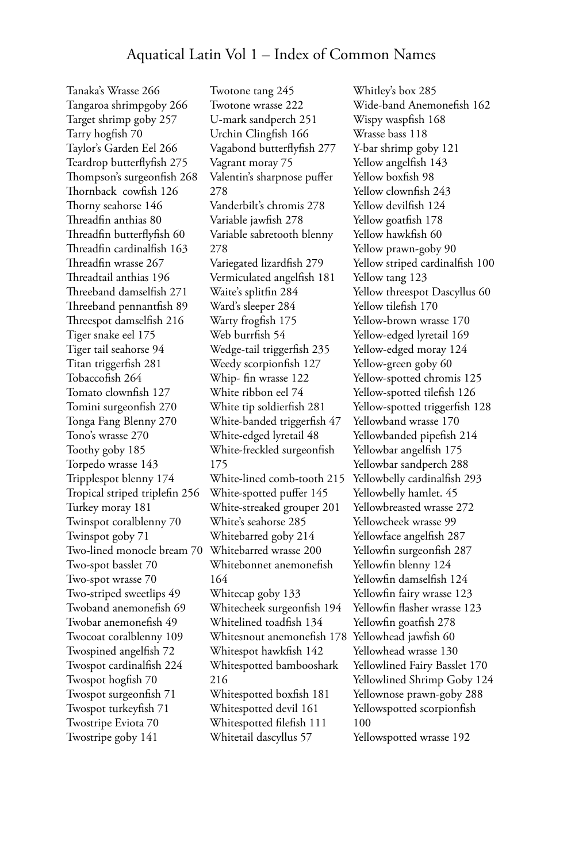Tanaka's Wrasse 266 Tangaroa shrimpgoby 266 Target shrimp goby 257 Tarry hogfish 70 Taylor's Garden Eel 266 Teardrop butterflyfish 275 Thompson's surgeonfish 268 Thornback cowfish 126 Thorny seahorse 146 Threadfin anthias 80 Threadfin butterflyfish 60 Threadfin cardinalfish 163 Threadfin wrasse 267 Threadtail anthias 196 Threeband damselfish 271 Threeband pennantfish 89 Threespot damselfish 216 Tiger snake eel 175 Tiger tail seahorse 94 Titan triggerfish 281 Tobaccofish 264 Tomato clownfish 127 Tomini surgeonfish 270 Tonga Fang Blenny 270 Tono's wrasse 270 Toothy goby 185 Torpedo wrasse 143 Tripplespot blenny 174 Tropical striped triplefin 256 Turkey moray 181 Twinspot coralblenny 70 Twinspot goby 71 Two-lined monocle bream 70 Two-spot basslet 70 Two-spot wrasse 70 Two-striped sweetlips 49 Twoband anemonefish 69 Twobar anemonefish 49 Twocoat coralblenny 109 Twospined angelfish 72 Twospot cardinalfish 224 Twospot hogfish 70 Twospot surgeonfish 71 Twospot turkeyfish 71 Twostripe Eviota 70 Twostripe goby 141

Twotone tang 245 Twotone wrasse 222 U-mark sandperch 251 Urchin Clingfish 166 Vagabond butterflyfish 277 Vagrant moray 75 Valentin's sharpnose puffer 278 Vanderbilt's chromis 278 Variable jawfish 278 Variable sabretooth blenny 278 Variegated lizardfish 279 Vermiculated angelfish 181 Waite's splitfin 284 Ward's sleeper 284 Warty frogfish 175 Web burrfish 54 Wedge-tail triggerfish 235 Weedy scorpionfish 127 Whip- fin wrasse 122 White ribbon eel 74 White tip soldierfish 281 White-banded triggerfish 47 White-edged lyretail 48 White-freckled surgeonfish 175 White-lined comb-tooth 215 White-spotted puffer 145 White-streaked grouper 201 White's seahorse 285 Whitebarred goby 214 Whitebarred wrasse 200 Whitebonnet anemonefish 164 Whitecap goby 133 Whitecheek surgeonfish 194 Whitelined toadfish 134 Whitesnout anemonefish 178 Yellowhead jawfish 60 Whitespot hawkfish 142 Whitespotted bambooshark 216 Whitespotted boxfish 181 Whitespotted devil 161 Whitespotted filefish 111 Whitetail dascyllus 57

Whitley's box 285 Wide-band Anemonefish 162 Wispy waspfish 168 Wrasse bass 118 Y-bar shrimp goby 121 Yellow angelfish 143 Yellow boxfish 98 Yellow clownfish 243 Yellow devilfish 124 Yellow goatfish 178 Yellow hawkfish 60 Yellow prawn-goby 90 Yellow striped cardinalfish 100 Yellow tang 123 Yellow threespot Dascyllus 60 Yellow tilefish 170 Yellow-brown wrasse 170 Yellow-edged lyretail 169 Yellow-edged moray 124 Yellow-green goby 60 Yellow-spotted chromis 125 Yellow-spotted tilefish 126 Yellow-spotted triggerfish 128 Yellowband wrasse 170 Yellowbanded pipefish 214 Yellowbar angelfish 175 Yellowbar sandperch 288 Yellowbelly cardinalfish 293 Yellowbelly hamlet. 45 Yellowbreasted wrasse 272 Yellowcheek wrasse 99 Yellowface angelfish 287 Yellowfin surgeonfish 287 Yellowfin blenny 124 Yellowfin damselfish 124 Yellowfin fairy wrasse 123 Yellowfin flasher wrasse 123 Yellowfin goatfish 278 Yellowhead wrasse 130 Yellowlined Fairy Basslet 170 Yellowlined Shrimp Goby 124 Yellownose prawn-goby 288 Yellowspotted scorpionfish 100 Yellowspotted wrasse 192